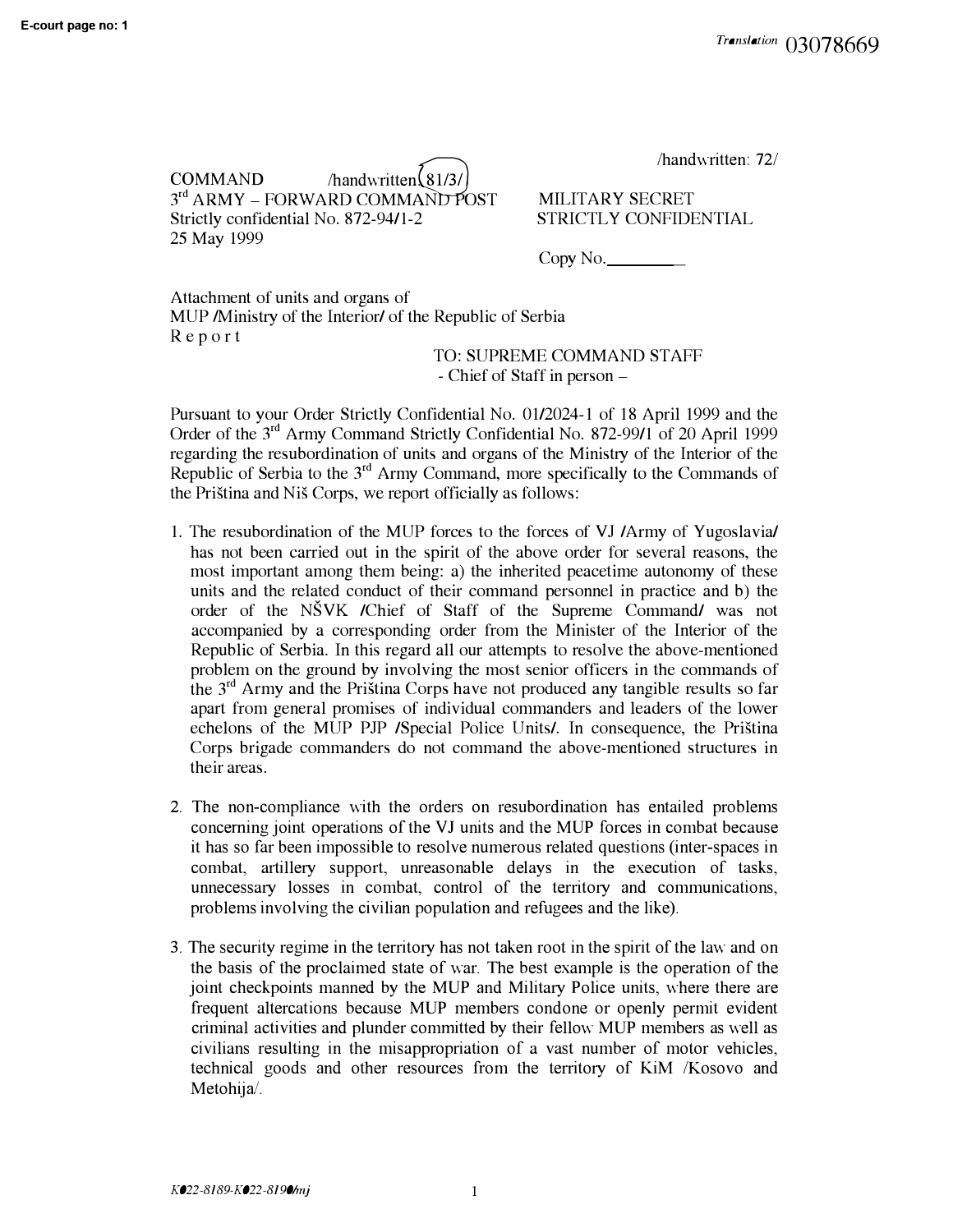$COMMAND$  /handwritten $\Omega$ /<br> $\Omega$ /handwritten $\Omega$ // 3 rd ARMY - **FORWARD COMMA�OST** Strictly confidential No. 872-94/1-2 25 May 1999

MILITARY SECRET STRICTLY CONFIDENTIAL

 $Copy No.$ 

Attachment of units and organs of MUP /Ministry of the Interior/ of the Republic of Serbia Report

TO: SUPREME COMMAND STAFF - Chief of Staff in person -

Pursuant to your Order Strictly Confidential No. 01/2024-1 of 18 April 1999 and the Order of the 3<sup>rd</sup> Army Command Strictly Confidential No. 872-99/1 of 20 April 1999 regarding the resubordination of units and organs of the Ministry of the Interior of the Republic of Serbia to the  $3<sup>rd</sup>$  Army Command, more specifically to the Commands of the Pristina and Nis Corps, we report officially as follows:

- 1. The resubordination of the MUP forces to the forces of VJ /Army of Yugoslavia/ has not been carried out in the spirit of the above order for several reasons, the most important among them being: a) the inherited peacetime autonomy of these units and the related conduct of their command personnel in practice and b) the order of the NSVK /Chief of Staff of the Supreme Command/ was not accompanied by a corresponding order from the Minister of the Interior of the Republic of Serbia. In this regard all our attempts to resolve the above-mentioned problem on the ground by involving the most senior officers in the commands of the 3 rd Army and the Pristina Corps have not produced any tangible results so far apart from general promises of individual commanders and leaders of the lower echelons of the MUP PJP /Special Police Units/. In consequence, the Pristina Corps brigade commanders do not command the above-mentioned structures in their areas.
- 2. The non-compliance with the orders on resubordination has entailed problems concerning joint operations of the VJ units and the MUP forces in combat because it has so far been impossible to resolve numerous related questions (inter-spaces in combat, artillery support, unreasonable delays in the execution of tasks, unnecessary losses in combat, control of the territory and communications, problems involving the civilian population and refugees and the like).
- 3. The security regime in the territory has not taken root in the spirit of the law and on the basis of the proclaimed state of war. The best example is the operation of the joint checkpoints manned by the MUP and Military Police units, where there are frequent altercations because MUP members condone or openly permit evident criminal activities and plunder committed by their fellow MUP members as well as civilians resulting in the misappropriation of a vast number of motor vehicles, technical goods and other resources from the territory of **KiM** /Kosovo and Metohija/.